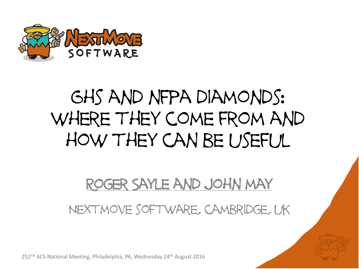

#### Ghs and nfpa diamonds: where they come from and how they can be useful

#### Roger Sayle and john may

#### Nextmove software, cambridge, uk

252<sup>nd</sup> ACS National Meeting, Philadelphia, PA, Wednesday 24<sup>th</sup> August 2016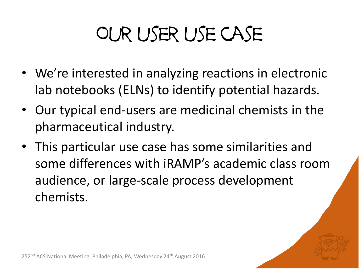# Our user use case

- We're interested in analyzing reactions in electronic lab notebooks (ELNs) to identify potential hazards.
- Our typical end-users are medicinal chemists in the pharmaceutical industry.
- This particular use case has some similarities and some differences with iRAMP's academic class room audience, or large-scale process development chemists.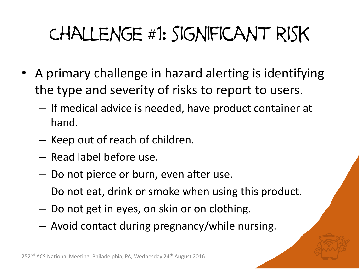# Challenge #1: significant risk

- A primary challenge in hazard alerting is identifying the type and severity of risks to report to users.
	- If medical advice is needed, have product container at hand.
	- Keep out of reach of children.
	- Read label before use.
	- Do not pierce or burn, even after use.
	- Do not eat, drink or smoke when using this product.
	- Do not get in eyes, on skin or on clothing.
	- Avoid contact during pregnancy/while nursing.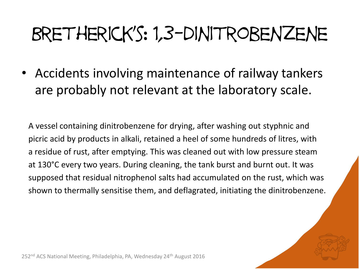#### Bretherick's: 1,3-dinitrobenzene

• Accidents involving maintenance of railway tankers are probably not relevant at the laboratory scale.

A vessel containing dinitrobenzene for drying, after washing out styphnic and picric acid by products in alkali, retained a heel of some hundreds of litres, with a residue of rust, after emptying. This was cleaned out with low pressure steam at 130°C every two years. During cleaning, the tank burst and burnt out. It was supposed that residual nitrophenol salts had accumulated on the rust, which was shown to thermally sensitise them, and deflagrated, initiating the dinitrobenzene.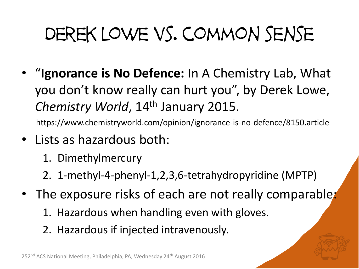## Derek lowe vs. common sense

• "**Ignorance is No Defence:** In A Chemistry Lab, What you don't know really can hurt you", by Derek Lowe, *Chemistry World*, 14th January 2015.

https://www.chemistryworld.com/opinion/ignorance-is-no-defence/8150.article

- Lists as hazardous both:
	- 1. Dimethylmercury
	- 2. 1-methyl-4-phenyl-1,2,3,6-tetrahydropyridine (MPTP)
- The exposure risks of each are not really comparable:
	- 1. Hazardous when handling even with gloves.
	- 2. Hazardous if injected intravenously.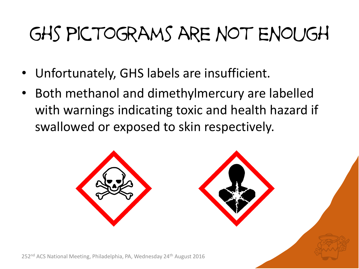#### ghs pictograms are not enough

- Unfortunately, GHS labels are insufficient.
- Both methanol and dimethylmercury are labelled with warnings indicating toxic and health hazard if swallowed or exposed to skin respectively.

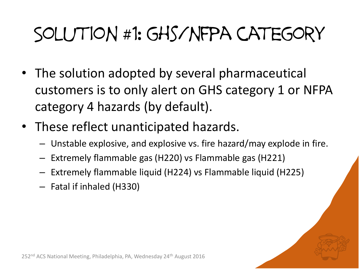#### Solution #1: ghs/nfpa category

- The solution adopted by several pharmaceutical customers is to only alert on GHS category 1 or NFPA category 4 hazards (by default).
- These reflect unanticipated hazards.
	- Unstable explosive, and explosive vs. fire hazard/may explode in fire.
	- Extremely flammable gas (H220) vs Flammable gas (H221)
	- Extremely flammable liquid (H224) vs Flammable liquid (H225)
	- Fatal if inhaled (H330)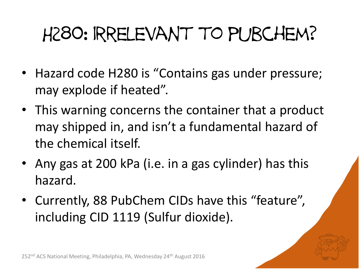#### H280: irrelevant to pubchem?

- Hazard code H280 is "Contains gas under pressure; may explode if heated".
- This warning concerns the container that a product may shipped in, and isn't a fundamental hazard of the chemical itself.
- Any gas at 200 kPa (i.e. in a gas cylinder) has this hazard.
- Currently, 88 PubChem CIDs have this "feature", including CID 1119 (Sulfur dioxide).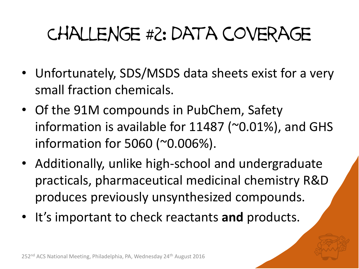#### Challenge #2: data coverage

- Unfortunately, SDS/MSDS data sheets exist for a very small fraction chemicals.
- Of the 91M compounds in PubChem, Safety information is available for 11487 (~0.01%), and GHS information for 5060 (~0.006%).
- Additionally, unlike high-school and undergraduate practicals, pharmaceutical medicinal chemistry R&D produces previously unsynthesized compounds.
- It's important to check reactants **and** products.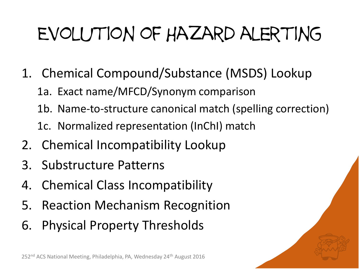## Evolution of Hazard alerting

- 1. Chemical Compound/Substance (MSDS) Lookup
	- 1a. Exact name/MFCD/Synonym comparison
	- 1b. Name-to-structure canonical match (spelling correction)
	- 1c. Normalized representation (InChI) match
- 2. Chemical Incompatibility Lookup
- 3. Substructure Patterns
- 4. Chemical Class Incompatibility
- 5. Reaction Mechanism Recognition
- 6. Physical Property Thresholds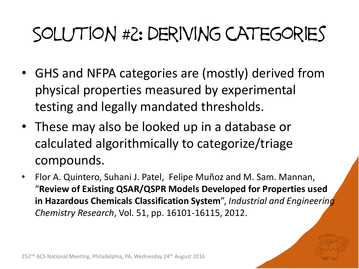#### Solution #2: deriving categories

- GHS and NFPA categories are (mostly) derived from physical properties measured by experimental testing and legally mandated thresholds.
- These may also be looked up in a database or calculated algorithmically to categorize/triage compounds.
- Flor A. Quintero, Suhani J. Patel, Felipe Muñoz and M. Sam. Mannan, "**Review of Existing QSAR/QSPR Models Developed for Properties used in Hazardous Chemicals Classification System**", *Industrial and Engineering Chemistry Research*, Vol. 51, pp. 16101-16115, 2012.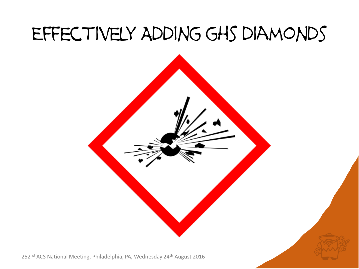#### Effectively Adding ghs diamonds



252<sup>nd</sup> ACS National Meeting, Philadelphia, PA, Wednesday 24<sup>th</sup> August 2016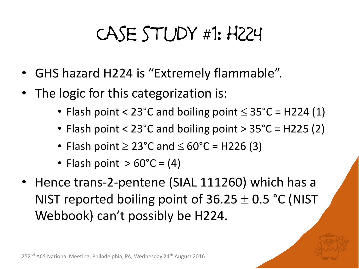#### Case study #1: h224

- GHS hazard H224 is "Extremely flammable".
- The logic for this categorization is:
	- Flash point <  $23^{\circ}$ C and boiling point  $\leq 35^{\circ}$ C = H224 (1)
	- Flash point < 23°C and boiling point > 35°C = H225 (2)
	- Flash point  $\geq$  23°C and  $\leq$  60°C = H226 (3)
	- Flash point  $> 60^{\circ}$ C = (4)
- Hence trans-2-pentene (SIAL 111260) which has a NIST reported boiling point of  $36.25 \pm 0.5$  °C (NIST Webbook) can't possibly be H224.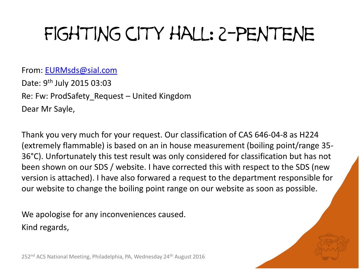#### Fighting city hall: 2-pentene

From: [EURMsds@sial.com](mailto:EURMsds@sial.com) Date: 9<sup>th</sup> July 2015 03:03 Re: Fw: ProdSafety\_Request – United Kingdom Dear Mr Sayle,

Thank you very much for your request. Our classification of CAS 646-04-8 as H224 (extremely flammable) is based on an in house measurement (boiling point/range 35- 36°C). Unfortunately this test result was only considered for classification but has not been shown on our SDS / website. I have corrected this with respect to the SDS (new version is attached). I have also forwared a request to the department responsible for our website to change the boiling point range on our website as soon as possible.

We apologise for any inconveniences caused. Kind regards,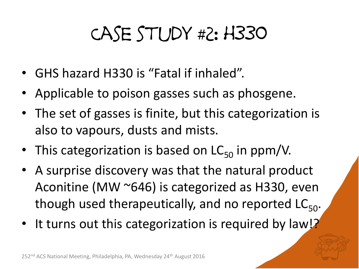#### Case study #2: h330

- GHS hazard H330 is "Fatal if inhaled".
- Applicable to poison gasses such as phosgene.
- The set of gasses is finite, but this categorization is also to vapours, dusts and mists.
- This categorization is based on  $LC_{50}$  in ppm/V.
- A surprise discovery was that the natural product Aconitine (MW ~646) is categorized as H330, even though used therapeutically, and no reported  $LC_{50}$ .
- It turns out this categorization is required by law!?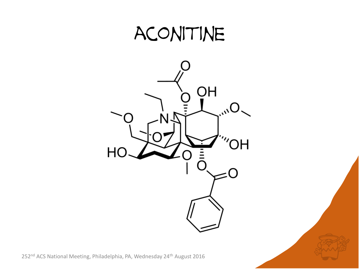#### aconitine

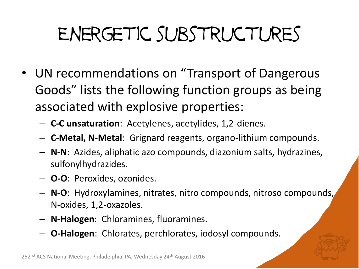## Energetic substructures

- UN recommendations on "Transport of Dangerous Goods" lists the following function groups as being associated with explosive properties:
	- **C-C unsaturation**: Acetylenes, acetylides, 1,2-dienes.
	- **C-Metal, N-Metal**: Grignard reagents, organo-lithium compounds.
	- **N-N**: Azides, aliphatic azo compounds, diazonium salts, hydrazines, sulfonylhydrazides.
	- **O-O**: Peroxides, ozonides.
	- **N-O**: Hydroxylamines, nitrates, nitro compounds, nitroso compounds, N-oxides, 1,2-oxazoles.
	- **N-Halogen**: Chloramines, fluoramines.
	- **O-Halogen**: Chlorates, perchlorates, iodosyl compounds.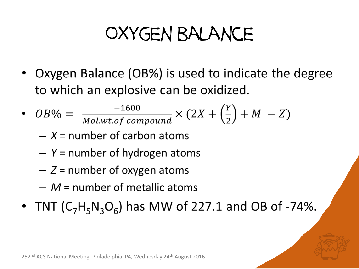#### Oxygen balance

• Oxygen Balance (OB%) is used to indicate the degree to which an explosive can be oxidized.

• 
$$
OB\% = \frac{-1600}{Mol.wt. of compound} \times (2X + \left(\frac{Y}{2}\right) + M - Z)
$$

- $X =$  number of carbon atoms
- $-$  Y = number of hydrogen atoms
- $-$  Z = number of oxygen atoms
- $-M$  = number of metallic atoms
- TNT  $(C_7H_5N_3O_6)$  has MW of 227.1 and OB of -74%.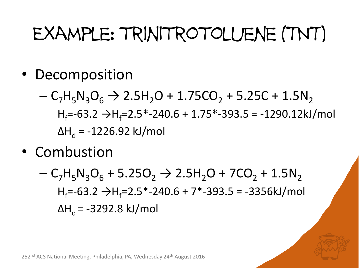#### Example: trinitrotoluene (TNT)

- Decomposition
	- $-C_7H_5N_3O_6 \rightarrow 2.5H_2O + 1.75CO_2 + 5.25C + 1.5N_2$  $H_f=-63.2 \rightarrow H_f=2.5*-240.6+1.75*-393.5=-1290.12 kJ/mol$  $ΔH<sub>d</sub> = -1226.92$  kJ/mol
- Combustion
	- $-C_7H_5N_3O_6 + 5.25O_2 \rightarrow 2.5H_2O + 7CO_2 + 1.5N_2$  $H_f=-63.2 \rightarrow H_f=2.5*-240.6+7*-393.5=-3356kJ/mol$  $ΔH<sub>c</sub> = -3292.8$  kJ/mol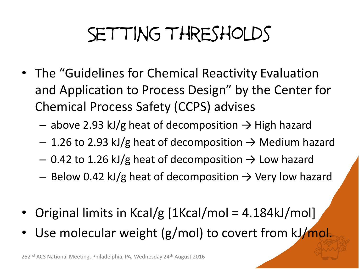#### Setting thresholds

- The "Guidelines for Chemical Reactivity Evaluation and Application to Process Design" by the Center for Chemical Process Safety (CCPS) advises
	- above 2.93 kJ/g heat of decomposition  $\rightarrow$  High hazard
	- $-$  1.26 to 2.93 kJ/g heat of decomposition  $\rightarrow$  Medium hazard
	- $-$  0.42 to 1.26 kJ/g heat of decomposition  $\rightarrow$  Low hazard
	- Below 0.42 kJ/g heat of decomposition  $\rightarrow$  Very low hazard
- Original limits in Kcal/g [1Kcal/mol = 4.184kJ/mol]
- Use molecular weight (g/mol) to covert from kJ/mol.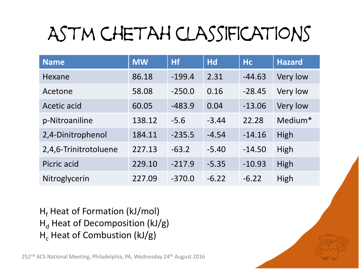## Astm chetah classifications

| <b>Name</b>           | <b>MW</b> | <b>Hf</b> | <b>Hd</b> | <b>Hc</b> | <b>Hazard</b> |
|-----------------------|-----------|-----------|-----------|-----------|---------------|
| Hexane                | 86.18     | $-199.4$  | 2.31      | $-44.63$  | Very low      |
| Acetone               | 58.08     | $-250.0$  | 0.16      | $-28.45$  | Very low      |
| Acetic acid           | 60.05     | $-483.9$  | 0.04      | $-13.06$  | Very low      |
| p-Nitroaniline        | 138.12    | $-5.6$    | $-3.44$   | 22.28     | Medium*       |
| 2,4-Dinitrophenol     | 184.11    | $-235.5$  | $-4.54$   | $-14.16$  | High          |
| 2,4,6-Trinitrotoluene | 227.13    | $-63.2$   | $-5.40$   | $-14.50$  | High          |
| Picric acid           | 229.10    | $-217.9$  | $-5.35$   | $-10.93$  | High          |
| Nitroglycerin         | 227.09    | $-370.0$  | $-6.22$   | $-6.22$   | High          |

 $H_f$  Heat of Formation (kJ/mol)  $H_d$  Heat of Decomposition (kJ/g)  $H_c$  Heat of Combustion (kJ/g)

252<sup>nd</sup> ACS National Meeting, Philadelphia, PA, Wednesday 24<sup>th</sup> August 2016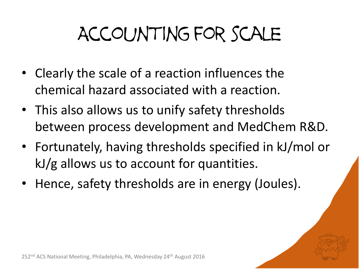## Accounting for scale

- Clearly the scale of a reaction influences the chemical hazard associated with a reaction.
- This also allows us to unify safety thresholds between process development and MedChem R&D.
- Fortunately, having thresholds specified in kJ/mol or kJ/g allows us to account for quantities.
- Hence, safety thresholds are in energy (Joules).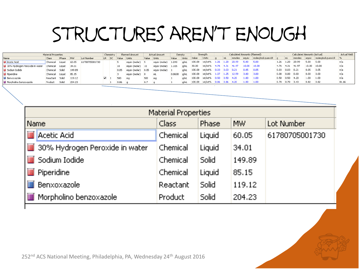#### Structures aren't enough

| Material Properties            |                |                    |            | Chemistry      |  |       | Planned Amount |                            | Actual Amount |                | Density |              | Strenath |                               | Calculated Amounts (Planned) |     |              |      | Calculated Amounts (Actual) |                   |                   |                             |          | Actual Yield      |       |
|--------------------------------|----------------|--------------------|------------|----------------|--|-------|----------------|----------------------------|---------------|----------------|---------|--------------|----------|-------------------------------|------------------------------|-----|--------------|------|-----------------------------|-------------------|-------------------|-----------------------------|----------|-------------------|-------|
| Name                           | Class          | Phase              | <b>IMW</b> | Lot Number     |  | LR SC | Value Units    |                            | Value         | Units          | Value   | <b>Units</b> | Value    | Units                         |                              | InL | mmoles equiv |      | moles/mol-pure-LR           |                   | mL.               | mmoles                      | equiv    | moles/mol-pure-LR |       |
| <b>Acetic Acid</b>             | Chemical       | Liguid             | 60.05      | 61780705001730 |  |       |                | equiv (molar) 5            |               | equiv (molar)  | 1.048   | a/mL         | 100.00   | wt/wt% 1.26 1.20              |                              |     | 20.99        | 5.00 | 5.00                        |                   | 1.26 1.20         | 20.99                       | 5.00     | 5.00              | n/a   |
| 30% Hydrogen Peroxide in water | Chemical       | Liquid             | 34.01      |                |  |       |                | equiv (molar)   10         |               | equiv (molar)  | 1.105   | a/mL         | 30.00    | wt/wt% 4.76 4.31 41.97        |                              |     |              |      | $10.00$ $10.00$             |                   |                   | $ 4.76 $ $ 4.31 $ $ 41.97 $ |          | 10.00 10.00       | nía   |
| Sodium Iodide                  | Chemical       | Solid              | 149.89     |                |  |       | 0.05           | $ $ equiv (molar) $ 0.05 $ |               | leguiv (molar) |         | a/mL         |          | 100.00 wt/wt% 0.03 0.03 0.21  |                              |     |              | 0.05 | 0.05                        | 0.03              | 0.03              | 0.21                        | 0.05     | 0.05              | n/a   |
| <b>Fiperidine</b>              | Chemical       | Liguid             | 85.15      |                |  |       |                | equiv (molar) 0            |               | mL             | 0.8608  | a/mL         |          | 100.00 wt/wt% 1.07 1.25 12.59 |                              |     |              | 3,00 | 3,00                        | 0.00 0.00         |                   | 0.00                        | 0.00     | 0.00              | n/a   |
| <b>E</b> Benxoxazole           | Reactant Solid |                    | 119.12     |                |  |       |                | ma                         | 500           | Ima            |         | a/mL         |          | 100.00 wt/wt% 0.50 0.50 4.20  |                              |     |              | 1.00 | 1.00                        | $0.50 \quad 0.50$ |                   | 4.20                        | $1.00 -$ | 1.00              | n/a   |
| Morpholino benzoxazole         | Product        | Solid <sup>1</sup> | 204.23     |                |  |       | 0.86           |                            | 0.7           |                |         | a/mL         |          | 100.00 wt/wt% 0.86 0.86 4.20  |                              |     |              | 1.00 | 1.00                        |                   | $0.70 \quad 0.70$ | 3.43                        | 0.82     | 0.82              | 81.66 |

| <b>Material Properties</b>                  |                   |              |           |                   |  |  |  |  |  |  |  |
|---------------------------------------------|-------------------|--------------|-----------|-------------------|--|--|--|--|--|--|--|
| <b>Name</b>                                 | Class <sub></sub> | Phase        | <b>MW</b> | <b>Lot Number</b> |  |  |  |  |  |  |  |
| Acetic Acid                                 | Chemical          | Liquid       | 60.05     | 61780705001730    |  |  |  |  |  |  |  |
| 30% Hydrogen Peroxide in water<br><b>IE</b> | Chemical          | Liquid       | 34.01     |                   |  |  |  |  |  |  |  |
| Sodium Iodide                               | Chemical          | <b>Solid</b> | 149.89    |                   |  |  |  |  |  |  |  |
| Piperidine<br><b>IB</b>                     | Chemical          | Liquid       | 85.15     |                   |  |  |  |  |  |  |  |
| Benxoxazole                                 | Reactant          | Solid        | 119.12    |                   |  |  |  |  |  |  |  |
| Morpholino benzoxazole                      | Product           | Solid        | 204.23    |                   |  |  |  |  |  |  |  |

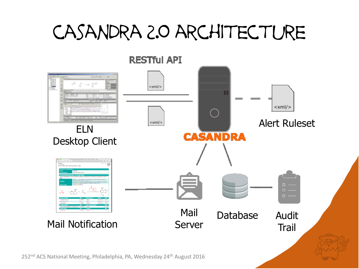#### casandra 2.0 architecture

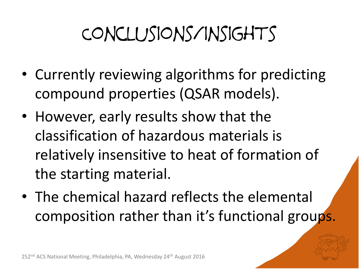## Conclusions/insights

- Currently reviewing algorithms for predicting compound properties (QSAR models).
- However, early results show that the classification of hazardous materials is relatively insensitive to heat of formation of the starting material.
- The chemical hazard reflects the elemental composition rather than it's functional groups.